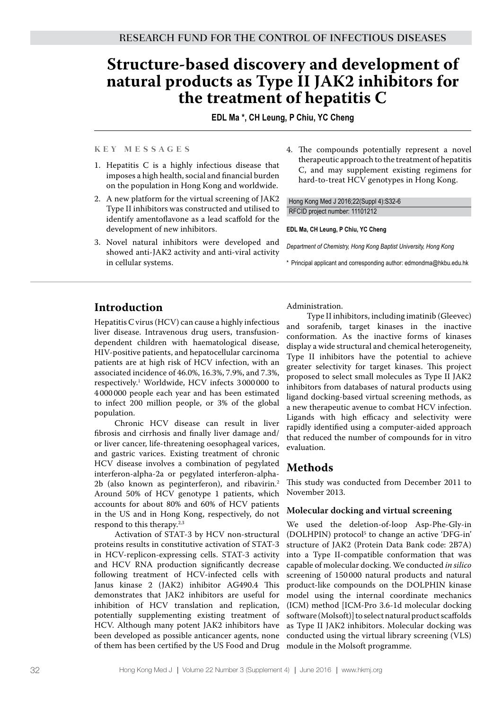# **Structure-based discovery and development of natural products as Type II JAK2 inhibitors for the treatment of hepatitis C**

**EDL Ma \*, CH Leung, P Chiu, YC Cheng**

#### **K e y M e s s a g e s**

- 1. Hepatitis C is a highly infectious disease that imposes a high health, social and financial burden on the population in Hong Kong and worldwide.
- 2. A new platform for the virtual screening of JAK2 Type II inhibitors was constructed and utilised to identify amentoflavone as a lead scaffold for the development of new inhibitors.
- 3. Novel natural inhibitors were developed and showed anti-JAK2 activity and anti-viral activity in cellular systems.
- 4. The compounds potentially represent a novel therapeutic approach to the treatment of hepatitis C, and may supplement existing regimens for hard-to-treat HCV genotypes in Hong Kong.

Hong Kong Med J 2016;22(Suppl 4):S32-6 RFCID project number: 11101212

#### **EDL Ma, CH Leung, P Chiu, YC Cheng**

*Department of Chemistry, Hong Kong Baptist University, Hong Kong*

\* Principal applicant and corresponding author: edmondma@hkbu.edu.hk

## **Introduction**

Hepatitis C virus (HCV) can cause a highly infectious liver disease. Intravenous drug users, transfusiondependent children with haematological disease, HIV-positive patients, and hepatocellular carcinoma patients are at high risk of HCV infection, with an associated incidence of 46.0%, 16.3%, 7.9%, and 7.3%, respectively.1 Worldwide, HCV infects 3 000 000 to 4 000 000 people each year and has been estimated to infect 200 million people, or 3% of the global population.

Chronic HCV disease can result in liver fibrosis and cirrhosis and finally liver damage and/ or liver cancer, life-threatening oesophageal varices, and gastric varices. Existing treatment of chronic HCV disease involves a combination of pegylated interferon-alpha-2a or pegylated interferon-alpha-2b (also known as peginterferon), and ribavirin.<sup>2</sup> Around 50% of HCV genotype 1 patients, which accounts for about 80% and 60% of HCV patients in the US and in Hong Kong, respectively, do not respond to this therapy.<sup>2,3</sup>

Activation of STAT-3 by HCV non-structural proteins results in constitutive activation of STAT-3 in HCV-replicon-expressing cells. STAT-3 activity and HCV RNA production significantly decrease following treatment of HCV-infected cells with Janus kinase 2 (JAK2) inhibitor AG490.4 This demonstrates that JAK2 inhibitors are useful for inhibition of HCV translation and replication, potentially supplementing existing treatment of HCV. Although many potent JAK2 inhibitors have been developed as possible anticancer agents, none of them has been certified by the US Food and Drug

Administration.

Type II inhibitors, including imatinib (Gleevec) and sorafenib, target kinases in the inactive conformation. As the inactive forms of kinases display a wide structural and chemical heterogeneity, Type II inhibitors have the potential to achieve greater selectivity for target kinases. This project proposed to select small molecules as Type II JAK2 inhibitors from databases of natural products using ligand docking-based virtual screening methods, as a new therapeutic avenue to combat HCV infection. Ligands with high efficacy and selectivity were rapidly identified using a computer-aided approach that reduced the number of compounds for in vitro evaluation.

# **Methods**

This study was conducted from December 2011 to November 2013.

#### **Molecular docking and virtual screening**

We used the deletion-of-loop Asp-Phe-Gly-in (DOLHPIN) protocol<sup>5</sup> to change an active 'DFG-in' structure of JAK2 (Protein Data Bank code: 2B7A) into a Type II-compatible conformation that was capable of molecular docking. We conducted *in silico* screening of 150 000 natural products and natural product-like compounds on the DOLPHIN kinase model using the internal coordinate mechanics (ICM) method [ICM-Pro 3.6-1d molecular docking software (Molsoft)] to select natural product scaffolds as Type II JAK2 inhibitors. Molecular docking was conducted using the virtual library screening (VLS) module in the Molsoft programme.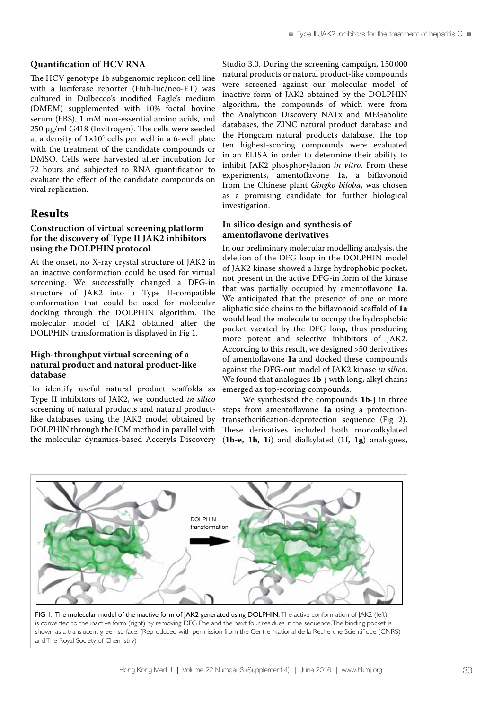#### **Quantification of HCV RNA**

The HCV genotype 1b subgenomic replicon cell line with a luciferase reporter (Huh-luc/neo-ET) was cultured in Dulbecco's modified Eagle's medium (DMEM) supplemented with 10% foetal bovine serum (FBS), 1 mM non-essential amino acids, and 250 µg/ml G418 (Invitrogen). The cells were seeded at a density of  $1\times10^5$  cells per well in a 6-well plate with the treatment of the candidate compounds or DMSO. Cells were harvested after incubation for 72 hours and subjected to RNA quantification to evaluate the effect of the candidate compounds on viral replication.

# **Results**

#### **Construction of virtual screening platform for the discovery of Type II JAK2 inhibitors using the DOLPHIN protocol**

At the onset, no X-ray crystal structure of JAK2 in an inactive conformation could be used for virtual screening. We successfully changed a DFG-in structure of JAK2 into a Type II-compatible conformation that could be used for molecular docking through the DOLPHIN algorithm. The molecular model of JAK2 obtained after the DOLPHIN transformation is displayed in Fig 1.

#### **High-throughput virtual screening of a natural product and natural product-like database**

To identify useful natural product scaffolds as Type II inhibitors of JAK2, we conducted *in silico* screening of natural products and natural productlike databases using the JAK2 model obtained by DOLPHIN through the ICM method in parallel with

Studio 3.0. During the screening campaign, 150 000 natural products or natural product-like compounds were screened against our molecular model of inactive form of JAK2 obtained by the DOLPHIN algorithm, the compounds of which were from the Analyticon Discovery NATx and MEGabolite databases, the ZINC natural product database and the Hongcam natural products database. The top ten highest-scoring compounds were evaluated in an ELISA in order to determine their ability to inhibit JAK2 phosphorylation *in vitro*. From these experiments, amentoflavone 1a, a biflavonoid from the Chinese plant *Gingko biloba*, was chosen as a promising candidate for further biological investigation.

## **In silico design and synthesis of amentoflavone derivatives**

In our preliminary molecular modelling analysis, the deletion of the DFG loop in the DOLPHIN model of JAK2 kinase showed a large hydrophobic pocket, not present in the active DFG-in form of the kinase that was partially occupied by amentoflavone **1a**. We anticipated that the presence of one or more aliphatic side chains to the biflavonoid scaffold of **1a** would lead the molecule to occupy the hydrophobic pocket vacated by the DFG loop, thus producing more potent and selective inhibitors of JAK2. According to this result, we designed >50 derivatives of amentoflavone **1a** and docked these compounds against the DFG-out model of JAK2 kinase *in silico*. We found that analogues **1b-j** with long, alkyl chains emerged as top-scoring compounds.

the molecular dynamics-based Acceryls Discovery (**1b-e, 1h, 1i**) and dialkylated (**1f, 1g**) analogues, We synthesised the compounds **1b-j** in three steps from amentoflavone **1a** using a protectiontransetherification-deprotection sequence (Fig 2). These derivatives included both monoalkylated



FIG 1. The molecular model of the inactive form of JAK2 generated using DOLPHIN: The active conformation of JAK2 (left) is converted to the inactive form (right) by removing DFG Phe and the next four residues in the sequence. The binding pocket is shown as a translucent green surface. (Reproduced with permission from the Centre National de la Recherche Scientifique (CNRS) and The Royal Society of Chemistry)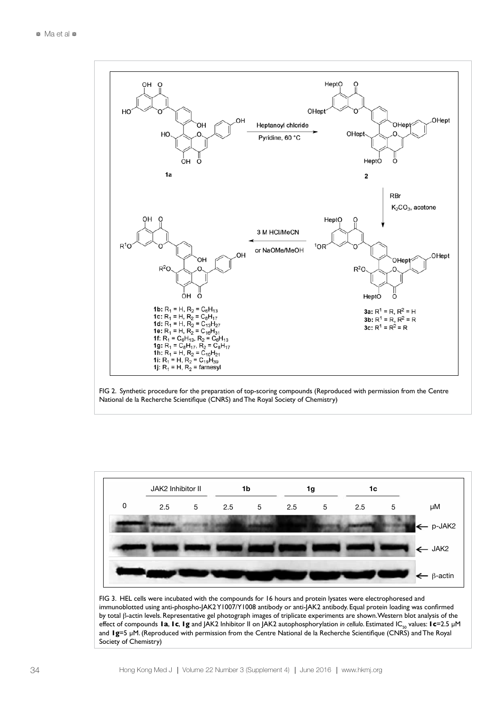





FIG 3. HEL cells were incubated with the compounds for 16 hours and protein lysates were electrophoresed and immunoblotted using anti-phospho-JAK2 Y1007/Y1008 antibody or anti-JAK2 antibody. Equal protein loading was confirmed by total β-actin levels. Representative gel photograph images of triplicate experiments are shown. Western blot analysis of the effect of compounds **1a, 1c, 1g** and JAK2 Inhibitor II on JAK2 autophosphorylation *in cellulo*. Estimated IC<sub>50</sub> values: **1c**=2.5 μM and **1g**=5 µM. (Reproduced with permission from the Centre National de la Recherche Scientifique (CNRS) and The Royal Society of Chemistry)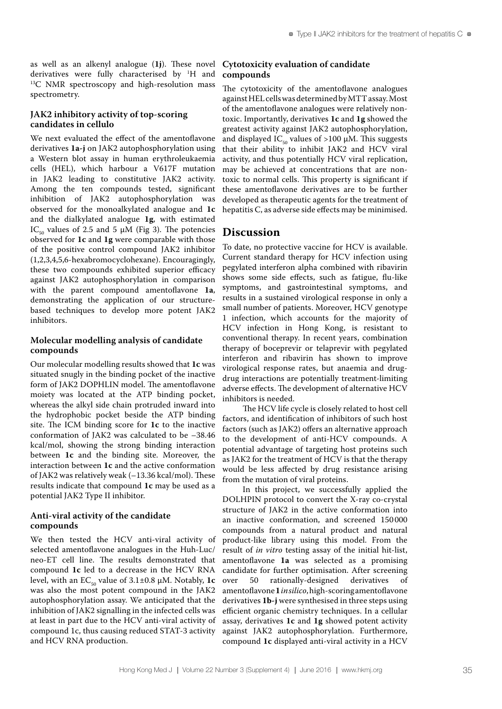as well as an alkenyl analogue (**1j**). These novel derivatives were fully characterised by <sup>1</sup>H and  $^{13}C$  NMR spectroscopy and high-resolution mass spectrometry.

#### **JAK2 inhibitory activity of top-scoring candidates in cellulo**

We next evaluated the effect of the amentoflavone derivatives **1a-j** on JAK2 autophosphorylation using a Western blot assay in human erythroleukaemia cells (HEL), which harbour a V617F mutation in JAK2 leading to constitutive JAK2 activity. Among the ten compounds tested, significant inhibition of JAK2 autophosphorylation was observed for the monoalkylated analogue and **1c** and the dialkylated analogue **1g**, with estimated IC<sub>50</sub> values of 2.5 and 5  $\mu$ M (Fig 3). The potencies observed for **1c** and **1g** were comparable with those of the positive control compound JAK2 inhibitor (1,2,3,4,5,6-hexabromocyclohexane). Encouragingly, these two compounds exhibited superior efficacy against JAK2 autophosphorylation in comparison with the parent compound amentoflavone **1a**, demonstrating the application of our structurebased techniques to develop more potent JAK2 inhibitors.

#### **Molecular modelling analysis of candidate compounds**

Our molecular modelling results showed that **1c** was situated snugly in the binding pocket of the inactive form of JAK2 DOPHLIN model. The amentoflavone moiety was located at the ATP binding pocket, whereas the alkyl side chain protruded inward into the hydrophobic pocket beside the ATP binding site. The ICM binding score for **1c** to the inactive conformation of JAK2 was calculated to be –38.46 kcal/mol, showing the strong binding interaction between **1c** and the binding site. Moreover, the interaction between **1c** and the active conformation of JAK2 was relatively weak (–13.36 kcal/mol). These results indicate that compound **1c** may be used as a potential JAK2 Type II inhibitor.

#### **Anti-viral activity of the candidate compounds**

We then tested the HCV anti-viral activity of selected amentoflavone analogues in the Huh-Luc/ neo-ET cell line. The results demonstrated that compound **1c** led to a decrease in the HCV RNA level, with an  $EC_{50}$  value of  $3.1\pm0.8$   $\mu$ M. Notably, 1c was also the most potent compound in the JAK2 autophosphorylation assay. We anticipated that the inhibition of JAK2 signalling in the infected cells was at least in part due to the HCV anti-viral activity of compound 1c, thus causing reduced STAT-3 activity and HCV RNA production.

#### **Cytotoxicity evaluation of candidate compounds**

The cytotoxicity of the amentoflavone analogues against HEL cells was determined by MTT assay. Most of the amentoflavone analogues were relatively nontoxic. Importantly, derivatives **1c** and **1g** showed the greatest activity against JAK2 autophosphorylation, and displayed IC<sub>50</sub> values of >100  $\mu$ M. This suggests that their ability to inhibit JAK2 and HCV viral activity, and thus potentially HCV viral replication, may be achieved at concentrations that are nontoxic to normal cells. This property is significant if these amentoflavone derivatives are to be further developed as therapeutic agents for the treatment of hepatitis C, as adverse side effects may be minimised.

## **Discussion**

To date, no protective vaccine for HCV is available. Current standard therapy for HCV infection using pegylated interferon alpha combined with ribavirin shows some side effects, such as fatigue, flu-like symptoms, and gastrointestinal symptoms, and results in a sustained virological response in only a small number of patients. Moreover, HCV genotype 1 infection, which accounts for the majority of HCV infection in Hong Kong, is resistant to conventional therapy. In recent years, combination therapy of boceprevir or telaprevir with pegylated interferon and ribavirin has shown to improve virological response rates, but anaemia and drugdrug interactions are potentially treatment-limiting adverse effects. The development of alternative HCV inhibitors is needed.

The HCV life cycle is closely related to host cell factors, and identification of inhibitors of such host factors (such as JAK2) offers an alternative approach to the development of anti-HCV compounds. A potential advantage of targeting host proteins such as JAK2 for the treatment of HCV is that the therapy would be less affected by drug resistance arising from the mutation of viral proteins.

In this project, we successfully applied the DOLHPIN protocol to convert the X-ray co-crystal structure of JAK2 in the active conformation into an inactive conformation, and screened 150 000 compounds from a natural product and natural product-like library using this model. From the result of *in vitro* testing assay of the initial hit-list, amentoflavone **1a** was selected as a promising candidate for further optimisation. After screening over 50 rationally-designed derivatives of amentoflavone **1***in silico*, high-scoring amentoflavone derivatives **1b-j** were synthesised in three steps using efficient organic chemistry techniques. In a cellular assay, derivatives **1c** and **1g** showed potent activity against JAK2 autophosphorylation. Furthermore, compound **1c** displayed anti-viral activity in a HCV